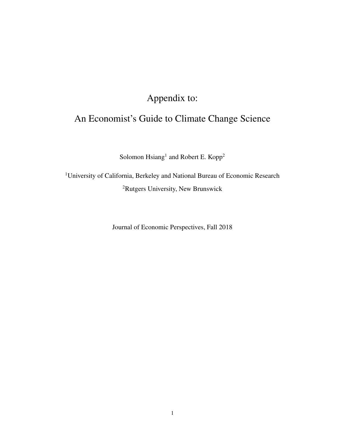## Appendix to:

## An Economist's Guide to Climate Change Science

Solomon Hsiang<sup>1</sup> and Robert E. Kopp<sup>2</sup>

<sup>1</sup>University of California, Berkeley and National Bureau of Economic Research <sup>2</sup>Rutgers University, New Brunswick

Journal of Economic Perspectives, Fall 2018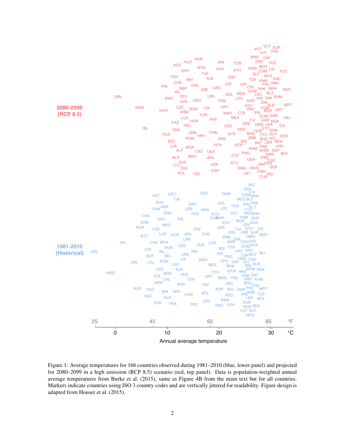

Figure 1: Average temperatures for 166 countries observed during 1981–2010 (blue, lower panel) and projected for 2080–2099 in a high emission (RCP 8.5) scenario (red, top panel). Data is population-weighted annual average temperatures from [Burke et al.](#page-2-0) [\(2015\)](#page-2-0), same as Figure 4B from the main text but for all countries. Markers indicate countries using ISO 3 country codes and are vertically jittered for readability. Figure design is adapted from [Houser et al.](#page-2-1) [\(2015\)](#page-2-1).